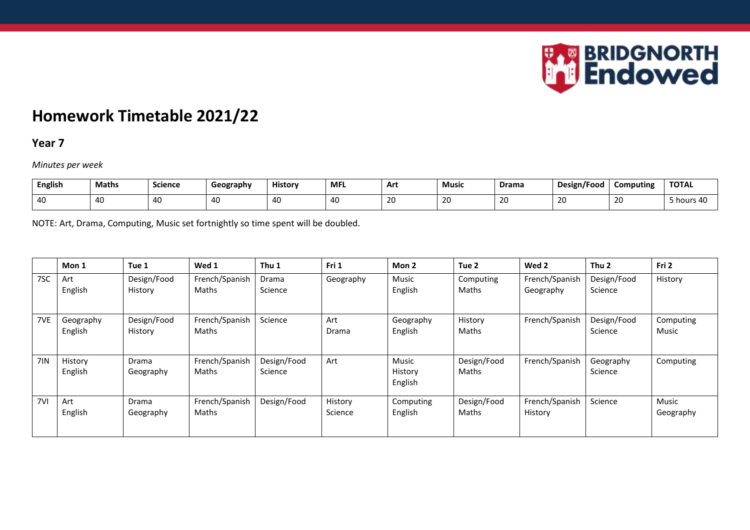

# **Homework Timetable 2021/22**

#### **Year 7**

*Minutes per week*

| <b>English</b>                                   | <b>Maths</b> | <b>Science</b> | Geography | <b>History</b> | <b>MFI</b> | Art          | <b>Music</b> | Drama | Design/Food | Computing                                                         | <b>TOTAL</b> |
|--------------------------------------------------|--------------|----------------|-----------|----------------|------------|--------------|--------------|-------|-------------|-------------------------------------------------------------------|--------------|
| $\overline{ }$<br>$\overline{\phantom{a}}$<br>᠇ᡆ | 40           | 40             | ᅮ 노       | <b>40</b>      |            | $\sim$<br>ZU | 20           | ZV.   | าก<br>∠∪    | $\overline{\phantom{0}}$<br>$\overline{\phantom{a}}$<br><b>LV</b> | hours 40     |

NOTE: Art, Drama, Computing, Music set fortnightly so time spent will be doubled.

|     | Mon 1                | Tue 1                     | Wed 1                   | Thu 1                  | Fri 1              | Mon 2                       | Tue 2                | Wed 2                       | Thu <sub>2</sub>       | Fri 2              |
|-----|----------------------|---------------------------|-------------------------|------------------------|--------------------|-----------------------------|----------------------|-----------------------------|------------------------|--------------------|
| 7SC | Art<br>English       | Design/Food<br>History    | French/Spanish<br>Maths | Drama<br>Science       | Geography          | Music<br>English            | Computing<br>Maths   | French/Spanish<br>Geography | Design/Food<br>Science | History            |
| 7VE | Geography<br>English | Design/Food<br>History    | French/Spanish<br>Maths | Science                | Art<br>Drama       | Geography<br>English        | History<br>Maths     | French/Spanish              | Design/Food<br>Science | Computing<br>Music |
| 7IN | History<br>English   | Drama<br>Geography        | French/Spanish<br>Maths | Design/Food<br>Science | Art                | Music<br>History<br>English | Design/Food<br>Maths | French/Spanish              | Geography<br>Science   | Computing          |
| 7VI | Art<br>English       | <b>Drama</b><br>Geography | French/Spanish<br>Maths | Design/Food            | History<br>Science | Computing<br>English        | Design/Food<br>Maths | French/Spanish<br>History   | Science                | Music<br>Geography |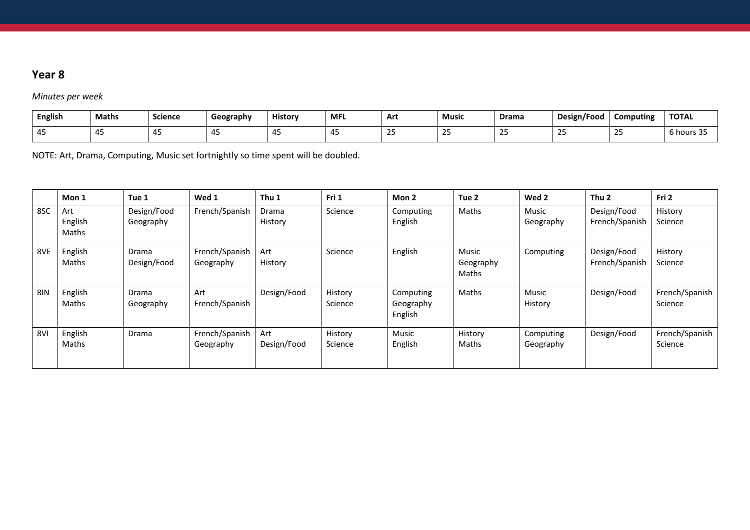*Minutes per week*

| <b>English</b> | <b>Maths</b> | Science | Geography | <b>History</b> | <b>MFL</b> | Art | Music | Drama        | Design/Food | Computing          | <b>TOTAL</b>               |
|----------------|--------------|---------|-----------|----------------|------------|-----|-------|--------------|-------------|--------------------|----------------------------|
|                | ╌            |         |           |                |            |     |       | $\sim$<br>-- | --          | $\sim$<br><u>_</u> | $\sim$<br>hour<br><u>.</u> |

NOTE: Art, Drama, Computing, Music set fortnightly so time spent will be doubled.

|            | Mon 1                   | Tue 1                    | Wed 1                       | Thu 1              | Fri 1              | Mon 2                             | Tue 2                       | Wed 2                     | Thu <sub>2</sub>              | Fri 2                     |
|------------|-------------------------|--------------------------|-----------------------------|--------------------|--------------------|-----------------------------------|-----------------------------|---------------------------|-------------------------------|---------------------------|
| 8SC        | Art<br>English<br>Maths | Design/Food<br>Geography | French/Spanish              | Drama<br>History   | Science            | Computing<br>English              | Maths                       | <b>Music</b><br>Geography | Design/Food<br>French/Spanish | History<br>Science        |
| 8VE        | English<br>Maths        | Drama<br>Design/Food     | French/Spanish<br>Geography | Art<br>History     | Science            | English                           | Music<br>Geography<br>Maths | Computing                 | Design/Food<br>French/Spanish | History<br>Science        |
| <b>8IN</b> | English<br>Maths        | Drama<br>Geography       | Art<br>French/Spanish       | Design/Food        | History<br>Science | Computing<br>Geography<br>English | Maths                       | Music<br>History          | Design/Food                   | French/Spanish<br>Science |
| 8VI        | English<br>Maths        | Drama                    | French/Spanish<br>Geography | Art<br>Design/Food | History<br>Science | Music<br>English                  | History<br>Maths            | Computing<br>Geography    | Design/Food                   | French/Spanish<br>Science |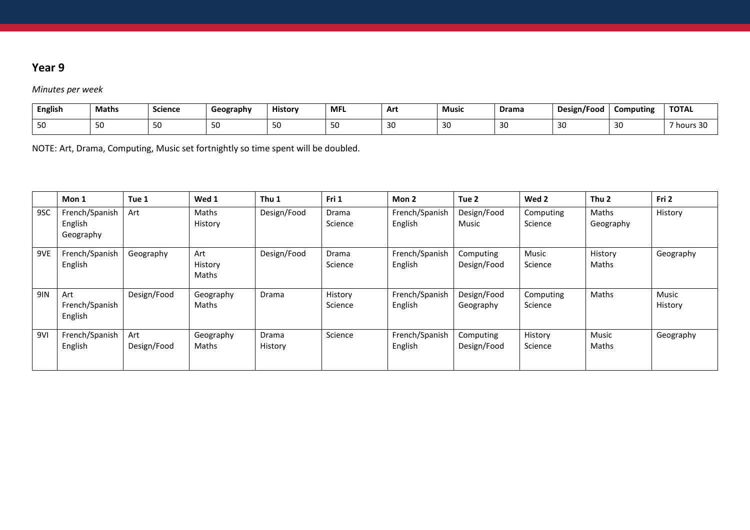#### *Minutes per week*

| <b>English</b> | <b>Maths</b> | <b>Science</b> | Geography  | <b>History</b> | <b>MFL</b> | Art          | <b>Music</b> | Drama            | Design/Food | Computing | <b>TOTAL</b>      |
|----------------|--------------|----------------|------------|----------------|------------|--------------|--------------|------------------|-------------|-----------|-------------------|
| $\sim$<br>JU   | JL           | $ \sim$<br>50  | <u>. .</u> | $\sim$<br>51   | ںر         | $\sim$<br>30 | -21          | $\sim$<br>◢<br>J | -41<br>ັ    | 30        | ົາດ<br>7 hours 30 |

NOTE: Art, Drama, Computing, Music set fortnightly so time spent will be doubled.

|            | Mon 1                                  | Tue 1              | Wed 1                   | Thu 1            | Fri 1              | Mon 2                     | Tue 2                    | Wed 2                | Thu <sub>2</sub>   | Fri 2            |
|------------|----------------------------------------|--------------------|-------------------------|------------------|--------------------|---------------------------|--------------------------|----------------------|--------------------|------------------|
| 9SC        | French/Spanish<br>English<br>Geography | Art                | Maths<br>History        | Design/Food      | Drama<br>Science   | French/Spanish<br>English | Design/Food<br>Music     | Computing<br>Science | Maths<br>Geography | History          |
| 9VE        | French/Spanish<br>English              | Geography          | Art<br>History<br>Maths | Design/Food      | Drama<br>Science   | French/Spanish<br>English | Computing<br>Design/Food | Music<br>Science     | History<br>Maths   | Geography        |
| <b>9IN</b> | Art<br>French/Spanish<br>English       | Design/Food        | Geography<br>Maths      | Drama            | History<br>Science | French/Spanish<br>English | Design/Food<br>Geography | Computing<br>Science | Maths              | Music<br>History |
| 9VI        | French/Spanish<br>English              | Art<br>Design/Food | Geography<br>Maths      | Drama<br>History | Science            | French/Spanish<br>English | Computing<br>Design/Food | History<br>Science   | Music<br>Maths     | Geography        |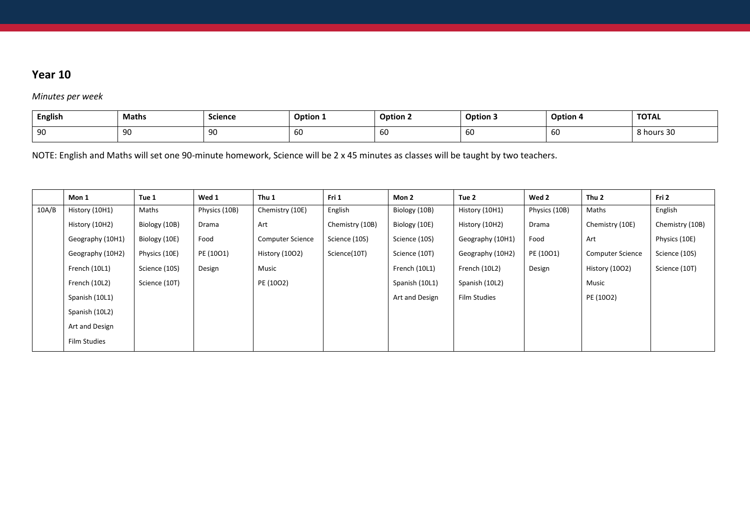*Minutes per week*

|           | <b>English</b> | Math <sup>.</sup> | <b>Science</b> | $\sim$ $\sim$<br><b>Option 1</b> | Option : | Option: | - -<br>Option 4 | <b>TOTAL</b>              |
|-----------|----------------|-------------------|----------------|----------------------------------|----------|---------|-----------------|---------------------------|
| ∩٢<br>JU. |                | 90                | ഹ<br>◡         | 60                               | 60       | юU      | 60              | - -<br><sup>፡</sup> hours |

NOTE: English and Maths will set one 90-minute homework, Science will be 2 x 45 minutes as classes will be taught by two teachers.

| English                                  |
|------------------------------------------|
|                                          |
| Chemistry (10B)<br>Chemistry (10E)       |
| Physics (10E)                            |
| Science (10S)<br><b>Computer Science</b> |
| Science (10T)<br>History (1002)          |
|                                          |
|                                          |
|                                          |
|                                          |
|                                          |
| Music<br>PE (1002)                       |